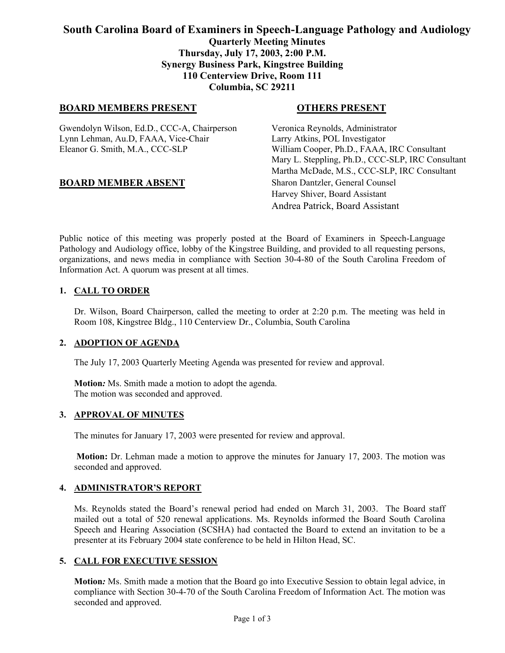# **South Carolina Board of Examiners in Speech-Language Pathology and Audiology Quarterly Meeting Minutes Thursday, July 17, 2003, 2:00 P.M. Synergy Business Park, Kingstree Building 110 Centerview Drive, Room 111 Columbia, SC 29211**

## **BOARD MEMBERS PRESENT COTHERS PRESENT**

Gwendolyn Wilson, Ed.D., CCC-A, Chairperson Veronica Reynolds, Administrator Lynn Lehman, Au.D, FAAA, Vice-Chair Larry Atkins, POL Investigator Eleanor G. Smith, M.A., CCC-SLP William Cooper, Ph.D., FAAA, IRC Consultant

# **BOARD MEMBER ABSENT** Sharon Dantzler, General Counsel

Mary L. Steppling, Ph.D., CCC-SLP, IRC Consultant Martha McDade, M.S., CCC-SLP, IRC Consultant Harvey Shiver, Board Assistant Andrea Patrick, Board Assistant

Public notice of this meeting was properly posted at the Board of Examiners in Speech-Language Pathology and Audiology office, lobby of the Kingstree Building, and provided to all requesting persons, organizations, and news media in compliance with Section 30-4-80 of the South Carolina Freedom of Information Act. A quorum was present at all times.

## **1. CALL TO ORDER**

Dr. Wilson, Board Chairperson, called the meeting to order at 2:20 p.m. The meeting was held in Room 108, Kingstree Bldg., 110 Centerview Dr., Columbia, South Carolina

## **2. ADOPTION OF AGENDA**

The July 17, 2003 Quarterly Meeting Agenda was presented for review and approval.

**Motion***:* Ms. Smith made a motion to adopt the agenda. The motion was seconded and approved.

#### **3. APPROVAL OF MINUTES**

The minutes for January 17, 2003 were presented for review and approval.

**Motion:** Dr. Lehman made a motion to approve the minutes for January 17, 2003. The motion was seconded and approved.

#### **4. ADMINISTRATOR'S REPORT**

Ms. Reynolds stated the Board's renewal period had ended on March 31, 2003. The Board staff mailed out a total of 520 renewal applications. Ms. Reynolds informed the Board South Carolina Speech and Hearing Association (SCSHA) had contacted the Board to extend an invitation to be a presenter at its February 2004 state conference to be held in Hilton Head, SC.

#### **5. CALL FOR EXECUTIVE SESSION**

**Motion***:* Ms. Smith made a motion that the Board go into Executive Session to obtain legal advice, in compliance with Section 30-4-70 of the South Carolina Freedom of Information Act. The motion was seconded and approved.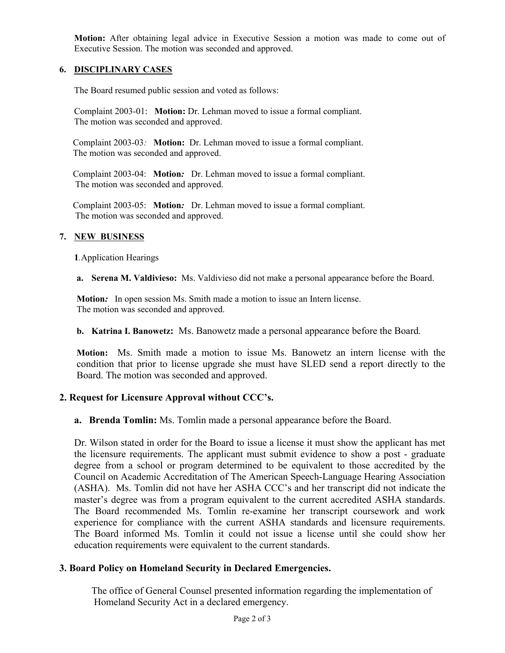**Motion:** After obtaining legal advice in Executive Session a motion was made to come out of Executive Session. The motion was seconded and approved.

## **6. DISCIPLINARY CASES**

The Board resumed public session and voted as follows:

Complaint 2003-01: **Motion:** Dr. Lehman moved to issue a formal compliant. The motion was seconded and approved.

 Complaint 2003-03*:* **Motion:** Dr. Lehman moved to issue a formal compliant. The motion was seconded and approved.

 Complaint 2003-04: **Motion***:* Dr. Lehman moved to issue a formal compliant. The motion was seconded and approved.

 Complaint 2003-05: **Motion***:* Dr. Lehman moved to issue a formal compliant. The motion was seconded and approved.

## **7. NEW BUSINESS**

**1***.*Application Hearings

**a. Serena M. Valdivieso:** Ms. Valdivieso did not make a personal appearance before the Board.

**Motion***:* In open session Ms. Smith made a motion to issue an Intern license. The motion was seconded and approved.

**b. Katrina I. Banowetz:** Ms. Banowetz made a personal appearance before the Board.

**Motion:** Ms. Smith made a motion to issue Ms. Banowetz an intern license with the condition that prior to license upgrade she must have SLED send a report directly to the Board. The motion was seconded and approved.

## **2. Request for Licensure Approval without CCC's.**

**a. Brenda Tomlin:** Ms. Tomlin made a personal appearance before the Board.

Dr. Wilson stated in order for the Board to issue a license it must show the applicant has met the licensure requirements. The applicant must submit evidence to show a post - graduate degree from a school or program determined to be equivalent to those accredited by the Council on Academic Accreditation of The American Speech-Language Hearing Association (ASHA). Ms. Tomlin did not have her ASHA CCC's and her transcript did not indicate the master's degree was from a program equivalent to the current accredited ASHA standards. The Board recommended Ms. Tomlin re-examine her transcript coursework and work experience for compliance with the current ASHA standards and licensure requirements. The Board informed Ms. Tomlin it could not issue a license until she could show her education requirements were equivalent to the current standards.

# **3. Board Policy on Homeland Security in Declared Emergencies.**

 The office of General Counsel presented information regarding the implementation of Homeland Security Act in a declared emergency.